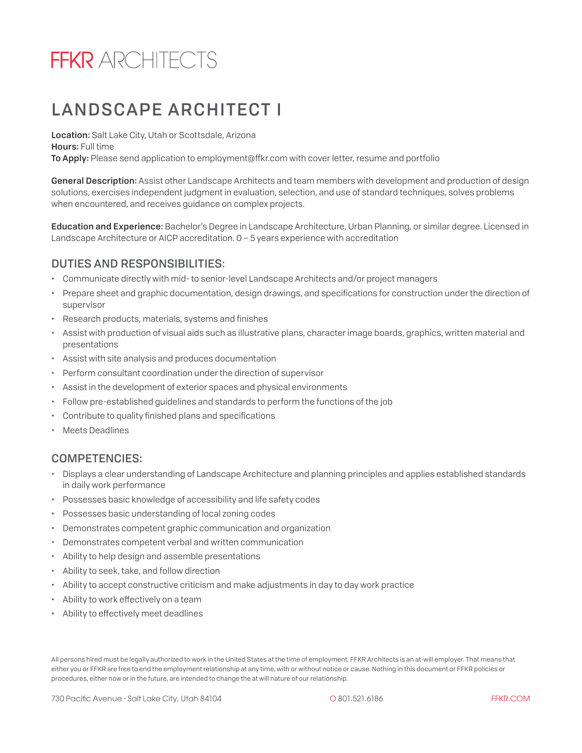# **FFKR** ARCHITECTS

## LANDSCAPE ARCHITECT I

Location: Salt Lake City, Utah or Scottsdale, Arizona Hours: Full time To Apply: Please send application to employment@ffkr.com with cover letter, resume and portfolio

General Description: Assist other Landscape Architects and team members with development and production of design solutions, exercises independent judgment in evaluation, selection, and use of standard techniques, solves problems when encountered, and receives guidance on complex projects.

Education and Experience: Bachelor's Degree in Landscape Architecture, Urban Planning, or similar degree. Licensed in Landscape Architecture or AICP accreditation. 0 – 5 years experience with accreditation

#### DUTIES AND RESPONSIBILITIES:

- Communicate directly with mid- to senior-level Landscape Architects and/or project managers
- Prepare sheet and graphic documentation, design drawings, and specifications for construction under the direction of supervisor
- Research products, materials, systems and finishes
- Assist with production of visual aids such as illustrative plans, character image boards, graphics, written material and presentations
- Assist with site analysis and produces documentation
- Perform consultant coordination under the direction of supervisor
- Assist in the development of exterior spaces and physical environments
- Follow pre-established guidelines and standards to perform the functions of the job
- Contribute to quality finished plans and specifications
- Meets Deadlines

### COMPETENCIES:

- Displays a clear understanding of Landscape Architecture and planning principles and applies established standards in daily work performance
- Possesses basic knowledge of accessibility and life safety codes
- Possesses basic understanding of local zoning codes
- Demonstrates competent graphic communication and organization
- Demonstrates competent verbal and written communication
- Ability to help design and assemble presentations
- Ability to seek, take, and follow direction
- Ability to accept constructive criticism and make adjustments in day to day work practice
- Ability to work effectively on a team
- Ability to effectively meet deadlines

All persons hired must be legally authorized to work in the United States at the time of employment. FFKR Architects is an at-will employer. That means that either you or FFKR are free to end the employment relationship at any time, with or without notice or cause. Nothing in this document or FFKR policies or procedures, either now or in the future, are intended to change the at will nature of our relationship.